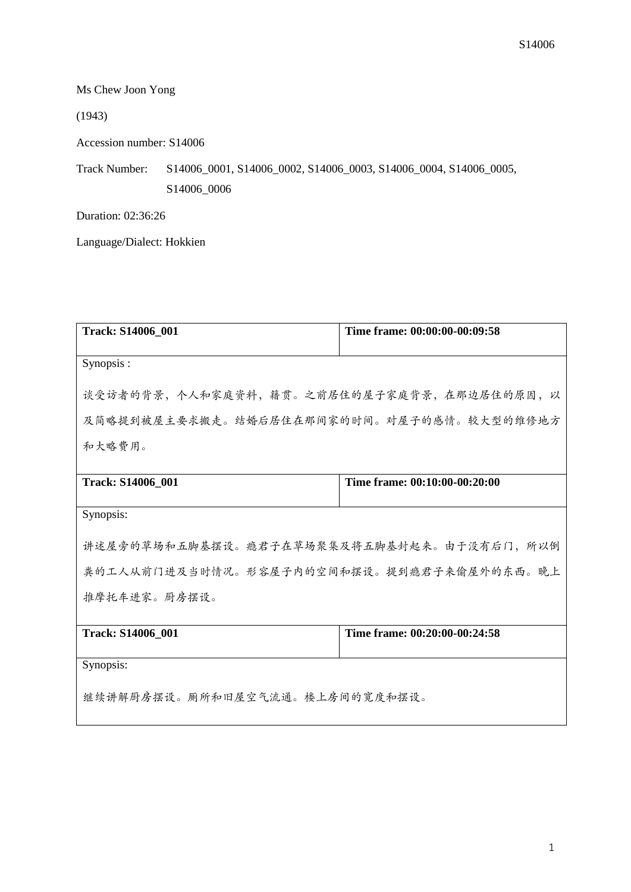Ms Chew Joon Yong

(1943)

Accession number: S14006

Track Number: S14006\_0001, S14006\_0002, S14006\_0003, S14006\_0004, S14006\_0005, S14006\_0006

Duration: 02:36:26

Language/Dialect: Hokkien

| <b>Track: S14006 001</b>                  | Time frame: 00:00:00-00:09:58 |
|-------------------------------------------|-------------------------------|
| Synopsis:                                 |                               |
| 谈受访者的背景,个人和家庭资料,籍贯。之前居住的屋子家庭背景,在那边居住的原因,以 |                               |
| 及简略提到被屋主要求搬走。结婚后居住在那间家的时间。对屋子的感情。较大型的维修地方 |                               |
| 和大略费用。                                    |                               |
| <b>Track: S14006_001</b>                  | Time frame: 00:10:00-00:20:00 |
|                                           |                               |
| Synopsis:                                 |                               |
| 讲述屋旁的草场和五脚基摆设。瘾君子在草场聚集及将五脚基封起来。由于没有后门,所以倒 |                               |
| 粪的工人从前门进及当时情况。形容屋子内的空间和摆设。提到瘾君子来偷屋外的东西。晚上 |                               |
| 推摩托车进家。厨房摆设。                              |                               |
|                                           |                               |
| <b>Track: S14006 001</b>                  | Time frame: 00:20:00-00:24:58 |
| Synopsis:                                 |                               |
| 继续讲解厨房摆设。厕所和旧屋空气流通。楼上房间的宽度和摆设。            |                               |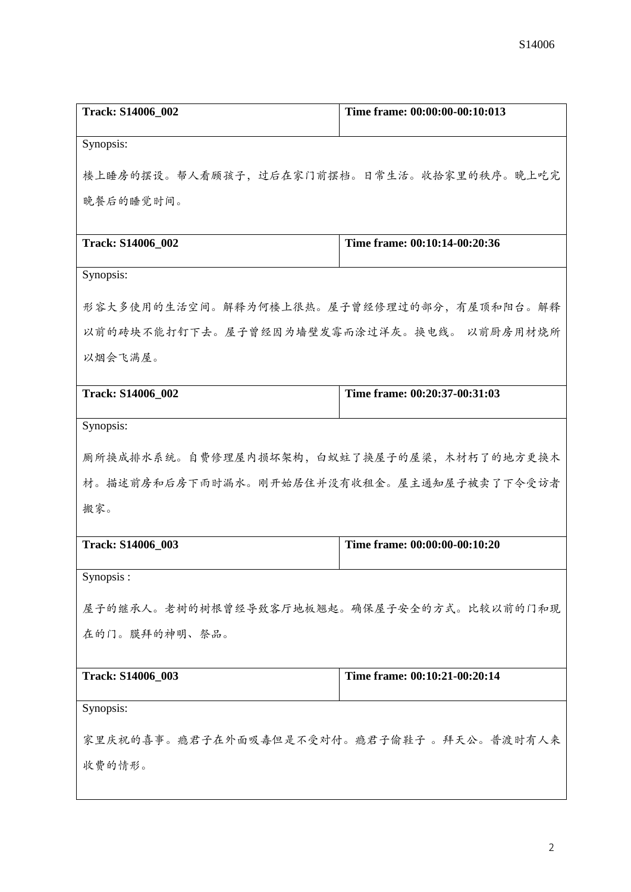| <b>Track: S14006_002</b>                  | Time frame: 00:00:00-00:10:013 |
|-------------------------------------------|--------------------------------|
| Synopsis:                                 |                                |
| 楼上睡房的摆设。帮人看顾孩子,过后在家门前摆档。日常生活。收拾家里的秩序。晚上吃完 |                                |
|                                           |                                |
| 晚餐后的睡觉时间。                                 |                                |
| <b>Track: S14006_002</b>                  | Time frame: 00:10:14-00:20:36  |
| Synopsis:                                 |                                |
|                                           |                                |
| 形容大多使用的生活空间。解释为何楼上很热。屋子曾经修理过的部分,有屋顶和阳台。解释 |                                |
| 以前的砖块不能打钉下去。屋子曾经因为墙壁发霉而涂过洋灰。换电线。 以前厨房用材烧所 |                                |
| 以烟会飞满屋。                                   |                                |
| <b>Track: S14006_002</b>                  | Time frame: 00:20:37-00:31:03  |
|                                           |                                |
| Synopsis:                                 |                                |
| 厕所换成排水系统。自费修理屋内损坏架构,白蚁蛀了换屋子的屋梁,木材朽了的地方更换木 |                                |
| 材。描述前房和后房下雨时漏水。刚开始居住并没有收租金。屋主通知屋子被卖了下令受访者 |                                |
| 搬家。                                       |                                |
|                                           |                                |
| Track: S14006_003                         | Time frame: 00:00:00-00:10:20  |
| Synopsis:                                 |                                |
| 屋子的继承人。老树的树根曾经导致客厅地板翘起。确保屋子安全的方式。比较以前的门和现 |                                |
| 在的门。膜拜的神明、祭品。                             |                                |
|                                           |                                |
| Track: S14006_003                         | Time frame: 00:10:21-00:20:14  |
| Synopsis:                                 |                                |
| 家里庆祝的喜事。瘾君子在外面吸毒但是不受对付。瘾君子偷鞋子 。拜天公。普渡时有人来 |                                |
|                                           |                                |
| 收费的情形。                                    |                                |
|                                           |                                |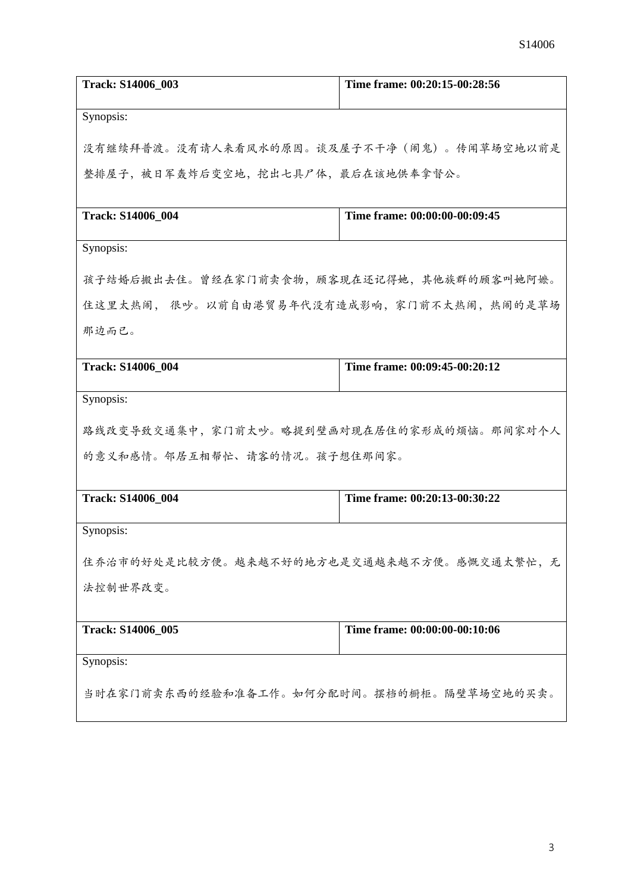| <b>Track: S14006_003</b>                    | Time frame: 00:20:15-00:28:56 |  |
|---------------------------------------------|-------------------------------|--|
| Synopsis:                                   |                               |  |
| 没有继续拜普渡。没有请人来看风水的原因。谈及屋子不干净(闹鬼)。传闻草场空地以前是   |                               |  |
| 整排屋子,被日军轰炸后变空地,挖出七具尸体,最后在该地供奉拿督公。           |                               |  |
| <b>Track: S14006 004</b>                    | Time frame: 00:00:00-00:09:45 |  |
| Synopsis:                                   |                               |  |
| 孩子结婚后搬出去住。曾经在家门前卖食物,顾客现在还记得她,其他族群的顾客叫她阿嬷。   |                               |  |
| 住这里太热闹, 很吵。以前自由港贸易年代没有造成影响, 家门前不太热闹, 热闹的是草场 |                               |  |
| 那边而已。                                       |                               |  |
| <b>Track: S14006 004</b>                    | Time frame: 00:09:45-00:20:12 |  |
| Synopsis:                                   |                               |  |
| 路线改变导致交通集中,家门前太吵。略提到壁画对现在居住的家形成的烦恼。那间家对个人   |                               |  |
| 的意义和感情。邻居互相帮忙、请客的情况。孩子想住那间家。                |                               |  |
| <b>Track: S14006_004</b>                    | Time frame: 00:20:13-00:30:22 |  |
| Synopsis:                                   |                               |  |
| 住乔治市的好处是比较方便。越来越不好的地方也是交通越来越不方便。感慨交通太繁忙,无   |                               |  |
| 法控制世界改变。                                    |                               |  |
| <b>Track: S14006_005</b>                    | Time frame: 00:00:00-00:10:06 |  |
| Synopsis:                                   |                               |  |
| 当时在家门前卖东西的经验和准备工作。如何分配时间。摆档的橱柜。隔壁草场空地的买卖。   |                               |  |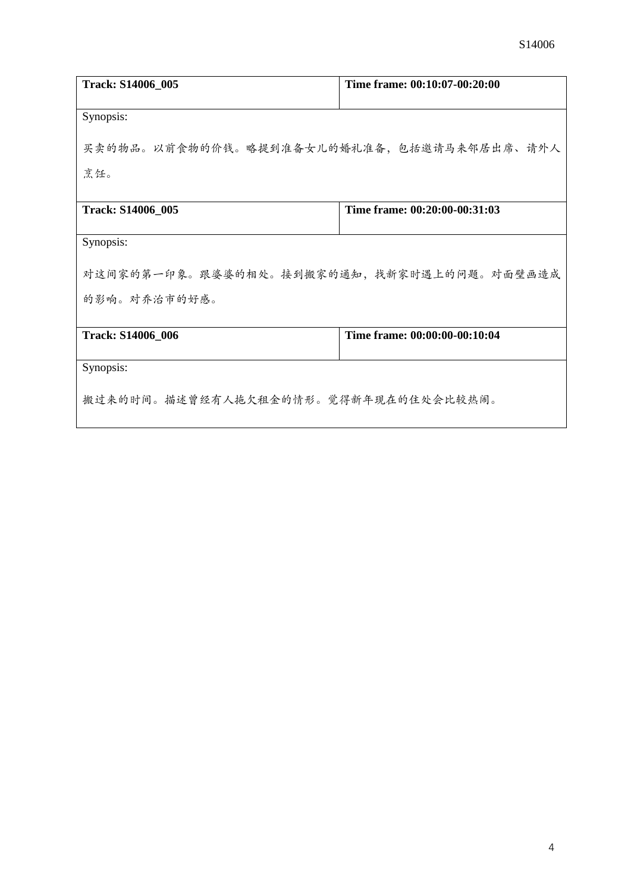| <b>Track: S14006_005</b>                  | Time frame: 00:10:07-00:20:00 |  |
|-------------------------------------------|-------------------------------|--|
| Synopsis:                                 |                               |  |
| 买卖的物品。以前食物的价钱。略提到准备女儿的婚礼准备,包括邀请马来邻居出席、请外人 |                               |  |
| 烹饪。                                       |                               |  |
| <b>Track: S14006_005</b>                  | Time frame: 00:20:00-00:31:03 |  |
| Synopsis:                                 |                               |  |
| 对这间家的第一印象。跟婆婆的相处。接到搬家的通知,找新家时遇上的问题。对面壁画造成 |                               |  |
| 的影响。对乔治市的好感。                              |                               |  |
| Track: S14006_006                         | Time frame: 00:00:00-00:10:04 |  |
|                                           |                               |  |
| Synopsis:                                 |                               |  |
| 搬过来的时间。描述曾经有人拖欠租金的情形。觉得新年现在的住处会比较热闹。      |                               |  |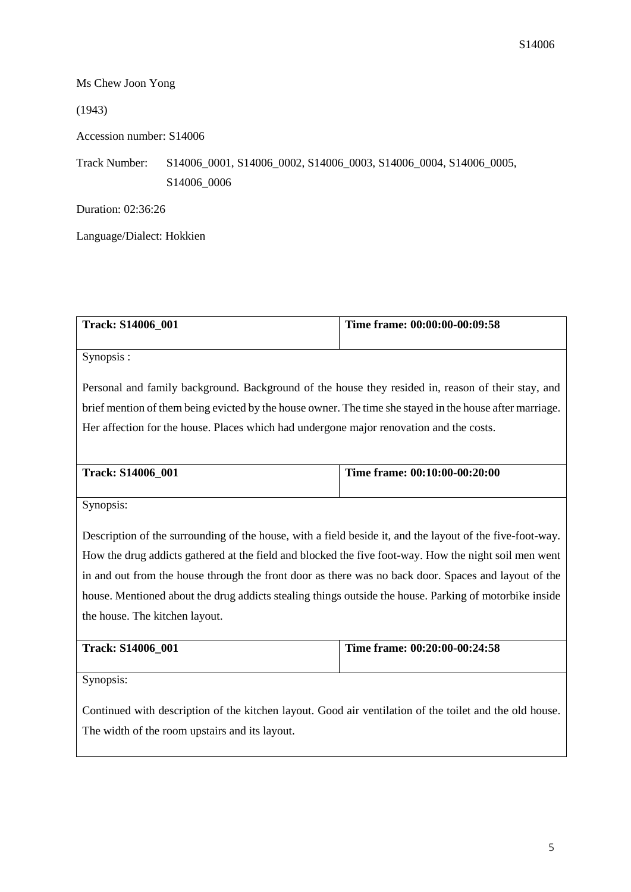## Ms Chew Joon Yong

## (1943)

Accession number: S14006

Track Number: S14006\_0001, S14006\_0002, S14006\_0003, S14006\_0004, S14006\_0005, S14006\_0006

Duration: 02:36:26

Language/Dialect: Hokkien

| <b>Track: S14006 001</b> | Time frame: $00:00:00-00:09:58$ |
|--------------------------|---------------------------------|
|                          |                                 |

Synopsis :

Personal and family background. Background of the house they resided in, reason of their stay, and brief mention of them being evicted by the house owner. The time she stayed in the house after marriage. Her affection for the house. Places which had undergone major renovation and the costs.

| <b>Track: S14006 001</b> | Time frame: 00:10:00-00:20:00 |
|--------------------------|-------------------------------|
|                          |                               |

Synopsis:

Description of the surrounding of the house, with a field beside it, and the layout of the five-foot-way. How the drug addicts gathered at the field and blocked the five foot-way. How the night soil men went in and out from the house through the front door as there was no back door. Spaces and layout of the house. Mentioned about the drug addicts stealing things outside the house. Parking of motorbike inside the house. The kitchen layout.

| <b>Track: S14006 001</b> | Time frame: 00:20:00-00:24:58 |
|--------------------------|-------------------------------|
|                          |                               |

Synopsis:

Continued with description of the kitchen layout. Good air ventilation of the toilet and the old house. The width of the room upstairs and its layout.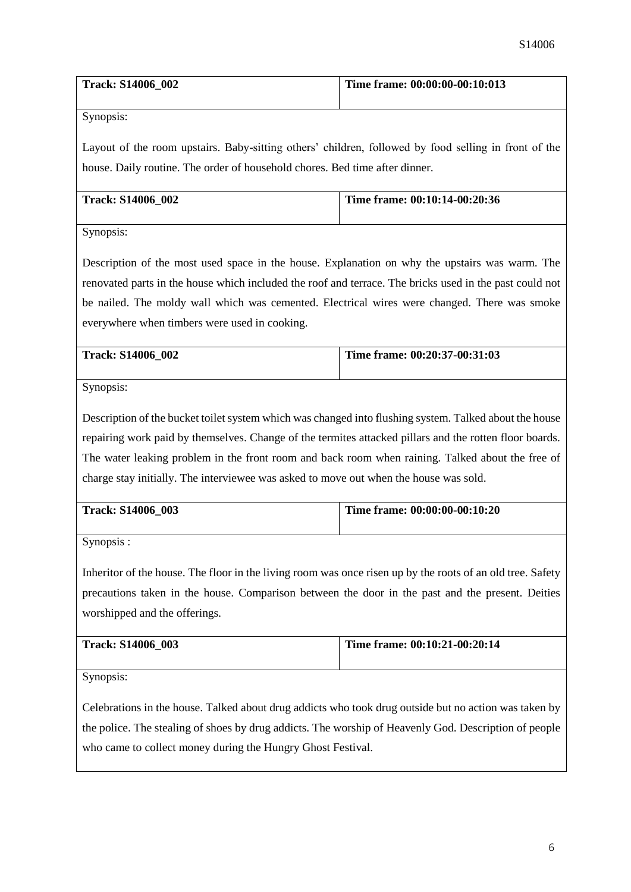| <b>Track: S14006 002</b> | Time frame: 00:00:00-00:10:013 |
|--------------------------|--------------------------------|
|                          |                                |

Synopsis:

Layout of the room upstairs. Baby-sitting others' children, followed by food selling in front of the house. Daily routine. The order of household chores. Bed time after dinner.

| <b>Track: S14006 002</b> | Time frame: $00:10:14-00:20:36$ |
|--------------------------|---------------------------------|
|                          |                                 |

Synopsis:

Description of the most used space in the house. Explanation on why the upstairs was warm. The renovated parts in the house which included the roof and terrace. The bricks used in the past could not be nailed. The moldy wall which was cemented. Electrical wires were changed. There was smoke everywhere when timbers were used in cooking.

| <b>Track: S14006 002</b> | Time frame: 00:20:37-00:31:03 |
|--------------------------|-------------------------------|
|                          |                               |

Synopsis:

Description of the bucket toilet system which was changed into flushing system. Talked about the house repairing work paid by themselves. Change of the termites attacked pillars and the rotten floor boards. The water leaking problem in the front room and back room when raining. Talked about the free of charge stay initially. The interviewee was asked to move out when the house was sold.

| <b>Track: S14006 003</b> | Time frame: 00:00:00-00:10:20 |
|--------------------------|-------------------------------|
|                          |                               |

Synopsis :

Inheritor of the house. The floor in the living room was once risen up by the roots of an old tree. Safety precautions taken in the house. Comparison between the door in the past and the present. Deities worshipped and the offerings.

| <b>Track: S14006 003</b> | Time frame: $00:10:21-00:20:14$ |
|--------------------------|---------------------------------|
|                          |                                 |

Synopsis:

Celebrations in the house. Talked about drug addicts who took drug outside but no action was taken by the police. The stealing of shoes by drug addicts. The worship of Heavenly God. Description of people who came to collect money during the Hungry Ghost Festival.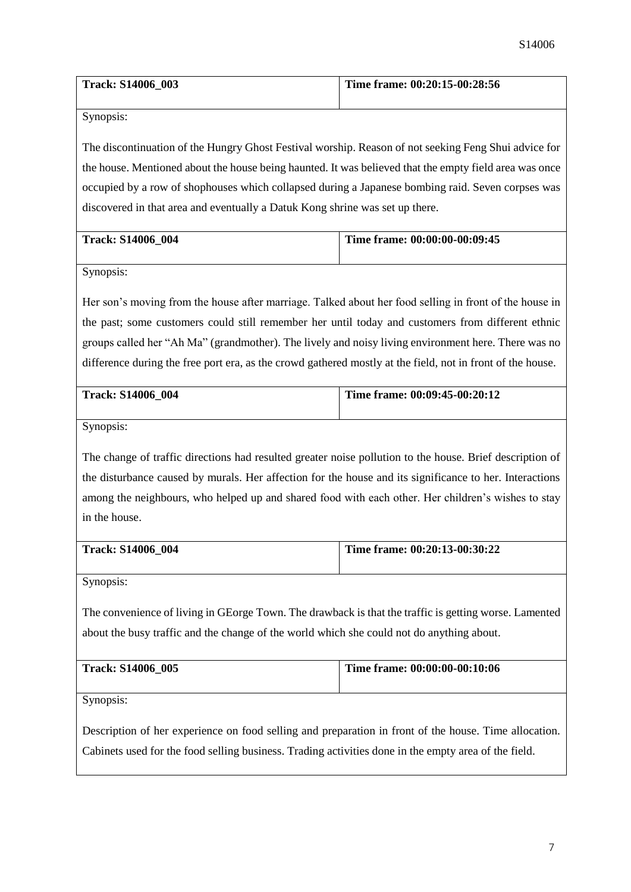| <b>Track: S14006 003</b> | Time frame: 00:20:15-00:28:56 |
|--------------------------|-------------------------------|
|                          |                               |

Synopsis:

The discontinuation of the Hungry Ghost Festival worship. Reason of not seeking Feng Shui advice for the house. Mentioned about the house being haunted. It was believed that the empty field area was once occupied by a row of shophouses which collapsed during a Japanese bombing raid. Seven corpses was discovered in that area and eventually a Datuk Kong shrine was set up there.

| <b>Track: S14006 004</b> | Time frame: 00:00:00-00:09:45 |
|--------------------------|-------------------------------|
|                          |                               |

Synopsis:

Her son's moving from the house after marriage. Talked about her food selling in front of the house in the past; some customers could still remember her until today and customers from different ethnic groups called her "Ah Ma" (grandmother). The lively and noisy living environment here. There was no difference during the free port era, as the crowd gathered mostly at the field, not in front of the house.

| <b>Track: S14006 004</b> | Time frame: 00:09:45-00:20:12 |
|--------------------------|-------------------------------|
|                          |                               |

Synopsis:

The change of traffic directions had resulted greater noise pollution to the house. Brief description of the disturbance caused by murals. Her affection for the house and its significance to her. Interactions among the neighbours, who helped up and shared food with each other. Her children's wishes to stay in the house.

| <b>Track: S14006 004</b> | Time frame: $00:20:13-00:30:22$ |
|--------------------------|---------------------------------|
|                          |                                 |

Synopsis:

The convenience of living in GEorge Town. The drawback is that the traffic is getting worse. Lamented about the busy traffic and the change of the world which she could not do anything about.

|  | <b>Track: S14006 005</b> | Time frame: $00:00:00-00:10:06$ |
|--|--------------------------|---------------------------------|
|--|--------------------------|---------------------------------|

Synopsis:

Description of her experience on food selling and preparation in front of the house. Time allocation. Cabinets used for the food selling business. Trading activities done in the empty area of the field.